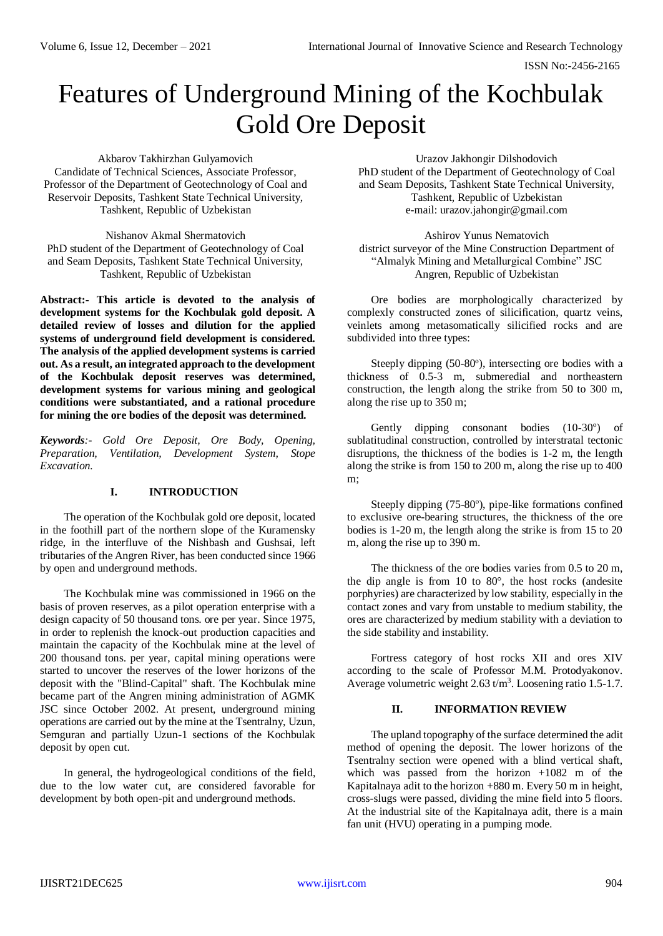ISSN No:-2456-2165

# Features of Underground Mining of the Kochbulak Gold Ore Deposit

Akbarov Takhirzhan Gulyamovich Candidate of Technical Sciences, Associate Professor, Professor of the Department of Geotechnology of Coal and Reservoir Deposits, Tashkent State Technical University, Tashkent, Republic of Uzbekistan

Nishanov Akmal Shermatovich PhD student of the Department of Geotechnology of Coal and Seam Deposits, Tashkent State Technical University, Tashkent, Republic of Uzbekistan

**Abstract:- This article is devoted to the analysis of development systems for the Kochbulak gold deposit. A detailed review of losses and dilution for the applied systems of underground field development is considered. The analysis of the applied development systems is carried out. As a result, an integrated approach to the development of the Kochbulak deposit reserves was determined, development systems for various mining and geological conditions were substantiated, and a rational procedure for mining the ore bodies of the deposit was determined.**

*Keywords:- Gold Ore Deposit, Ore Body, Opening, Preparation, Ventilation, Development System, Stope Excavation.*

#### **I. INTRODUCTION**

The operation of the Kochbulak gold ore deposit, located in the foothill part of the northern slope of the Kuramensky ridge, in the interfluve of the Nishbash and Gushsai, left tributaries of the Angren River, has been conducted since 1966 by open and underground methods.

The Kochbulak mine was commissioned in 1966 on the basis of proven reserves, as a pilot operation enterprise with a design capacity of 50 thousand tons. ore per year. Since 1975, in order to replenish the knock-out production capacities and maintain the capacity of the Kochbulak mine at the level of 200 thousand tons. per year, capital mining operations were started to uncover the reserves of the lower horizons of the deposit with the "Blind-Capital" shaft. The Kochbulak mine became part of the Angren mining administration of AGMK JSC since October 2002. At present, underground mining operations are carried out by the mine at the Tsentralny, Uzun, Semguran and partially Uzun-1 sections of the Kochbulak deposit by open cut.

In general, the hydrogeological conditions of the field, due to the low water cut, are considered favorable for development by both open-pit and underground methods.

Urazov Jakhongir Dilshodovich PhD student of the Department of Geotechnology of Coal and Seam Deposits, Tashkent State Technical University, Tashkent, Republic of Uzbekistan e-mail: urazov.jahongir@gmail.com

Ashirov Yunus Nematovich district surveyor of the Mine Construction Department of "Almalyk Mining and Metallurgical Combine" JSC Angren, Republic of Uzbekistan

Ore bodies are morphologically characterized by complexly constructed zones of silicification, quartz veins, veinlets among metasomatically silicified rocks and are subdivided into three types:

Steeply dipping (50-80°), intersecting ore bodies with a thickness of 0.5-3 m, submeredial and northeastern construction, the length along the strike from 50 to 300 m, along the rise up to 350 m;

Gently dipping consonant bodies (10-30°) of sublatitudinal construction, controlled by interstratal tectonic disruptions, the thickness of the bodies is 1-2 m, the length along the strike is from 150 to 200 m, along the rise up to 400 m;

Steeply dipping (75-80°), pipe-like formations confined to exclusive ore-bearing structures, the thickness of the ore bodies is 1-20 m, the length along the strike is from 15 to 20 m, along the rise up to 390 m.

The thickness of the ore bodies varies from 0.5 to 20 m, the dip angle is from 10 to 80°, the host rocks (andesite porphyries) are characterized by low stability, especially in the contact zones and vary from unstable to medium stability, the ores are characterized by medium stability with a deviation to the side stability and instability.

Fortress category of host rocks XII and ores XIV according to the scale of Professor M.M. Protodyakonov. Average volumetric weight 2.63 t/m<sup>3</sup>. Loosening ratio 1.5-1.7.

## **II. INFORMATION REVIEW**

The upland topography of the surface determined the adit method of opening the deposit. The lower horizons of the Tsentralny section were opened with a blind vertical shaft, which was passed from the horizon +1082 m of the Kapitalnaya adit to the horizon +880 m. Every 50 m in height, cross-slugs were passed, dividing the mine field into 5 floors. At the industrial site of the Kapitalnaya adit, there is a main fan unit (HVU) operating in a pumping mode.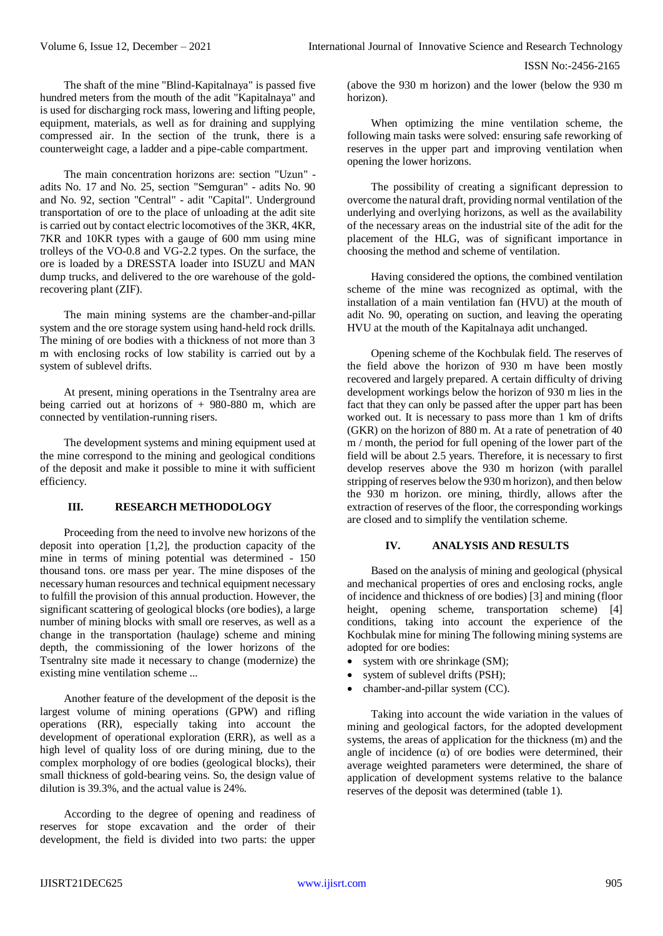ISSN No:-2456-2165

The shaft of the mine "Blind-Kapitalnaya" is passed five hundred meters from the mouth of the adit "Kapitalnaya" and is used for discharging rock mass, lowering and lifting people, equipment, materials, as well as for draining and supplying compressed air. In the section of the trunk, there is a counterweight cage, a ladder and a pipe-cable compartment.

The main concentration horizons are: section "Uzun" adits No. 17 and No. 25, section "Semguran" - adits No. 90 and No. 92, section "Central" - adit "Capital". Underground transportation of ore to the place of unloading at the adit site is carried out by contact electric locomotives of the 3KR, 4KR, 7KR and 10KR types with a gauge of 600 mm using mine trolleys of the VO-0.8 and VG-2.2 types. On the surface, the ore is loaded by a DRESSTA loader into ISUZU and MAN dump trucks, and delivered to the ore warehouse of the goldrecovering plant (ZIF).

The main mining systems are the chamber-and-pillar system and the ore storage system using hand-held rock drills. The mining of ore bodies with a thickness of not more than 3 m with enclosing rocks of low stability is carried out by a system of sublevel drifts.

At present, mining operations in the Tsentralny area are being carried out at horizons of + 980-880 m, which are connected by ventilation-running risers.

The development systems and mining equipment used at the mine correspond to the mining and geological conditions of the deposit and make it possible to mine it with sufficient efficiency.

# **III. RESEARCH METHODOLOGY**

Proceeding from the need to involve new horizons of the deposit into operation [1,2], the production capacity of the mine in terms of mining potential was determined - 150 thousand tons. ore mass per year. The mine disposes of the necessary human resources and technical equipment necessary to fulfill the provision of this annual production. However, the significant scattering of geological blocks (ore bodies), a large number of mining blocks with small ore reserves, as well as a change in the transportation (haulage) scheme and mining depth, the commissioning of the lower horizons of the Tsentralny site made it necessary to change (modernize) the existing mine ventilation scheme ...

Another feature of the development of the deposit is the largest volume of mining operations (GPW) and rifling operations (RR), especially taking into account the development of operational exploration (ERR), as well as a high level of quality loss of ore during mining, due to the complex morphology of ore bodies (geological blocks), their small thickness of gold-bearing veins. So, the design value of dilution is 39.3%, and the actual value is 24%.

According to the degree of opening and readiness of reserves for stope excavation and the order of their development, the field is divided into two parts: the upper (above the 930 m horizon) and the lower (below the 930 m horizon).

When optimizing the mine ventilation scheme, the following main tasks were solved: ensuring safe reworking of reserves in the upper part and improving ventilation when opening the lower horizons.

The possibility of creating a significant depression to overcome the natural draft, providing normal ventilation of the underlying and overlying horizons, as well as the availability of the necessary areas on the industrial site of the adit for the placement of the HLG, was of significant importance in choosing the method and scheme of ventilation.

Having considered the options, the combined ventilation scheme of the mine was recognized as optimal, with the installation of a main ventilation fan (HVU) at the mouth of adit No. 90, operating on suction, and leaving the operating HVU at the mouth of the Kapitalnaya adit unchanged.

Opening scheme of the Kochbulak field. The reserves of the field above the horizon of 930 m have been mostly recovered and largely prepared. A certain difficulty of driving development workings below the horizon of 930 m lies in the fact that they can only be passed after the upper part has been worked out. It is necessary to pass more than 1 km of drifts (GKR) on the horizon of 880 m. At a rate of penetration of 40 m / month, the period for full opening of the lower part of the field will be about 2.5 years. Therefore, it is necessary to first develop reserves above the 930 m horizon (with parallel stripping of reserves below the 930 m horizon), and then below the 930 m horizon. ore mining, thirdly, allows after the extraction of reserves of the floor, the corresponding workings are closed and to simplify the ventilation scheme.

#### **IV. ANALYSIS AND RESULTS**

Based on the analysis of mining and geological (physical and mechanical properties of ores and enclosing rocks, angle of incidence and thickness of ore bodies) [3] and mining (floor height, opening scheme, transportation scheme) [4] conditions, taking into account the experience of the Kochbulak mine for mining The following mining systems are adopted for ore bodies:

- system with ore shrinkage (SM);
- system of sublevel drifts (PSH);
- chamber-and-pillar system (CC).

Taking into account the wide variation in the values of mining and geological factors, for the adopted development systems, the areas of application for the thickness (m) and the angle of incidence  $(\alpha)$  of ore bodies were determined, their average weighted parameters were determined, the share of application of development systems relative to the balance reserves of the deposit was determined (table 1).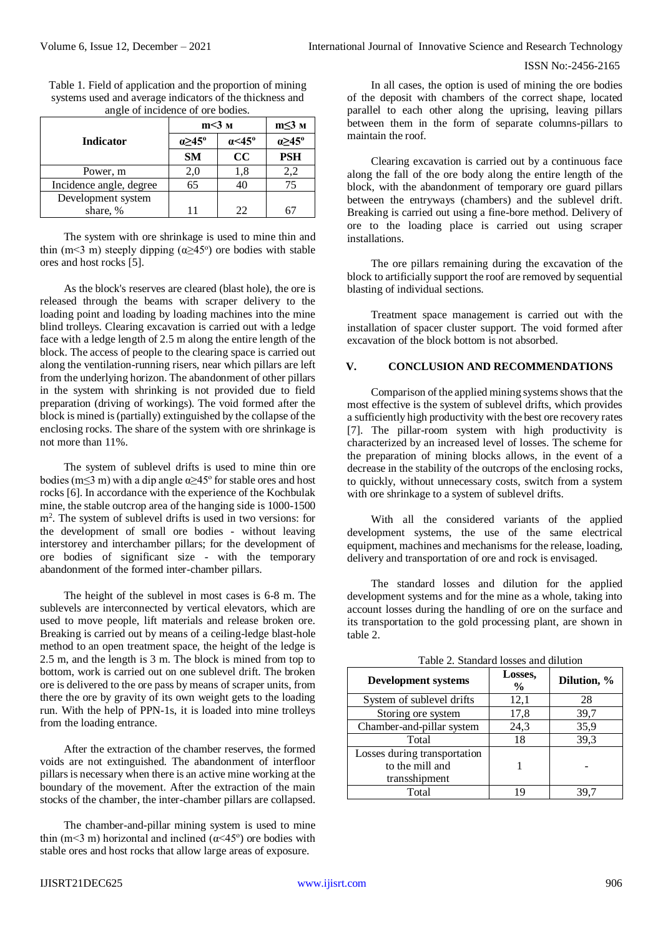#### ISSN No:-2456-2165

|                         | $m<3$ M                  |                         | $m \leq 3$ M             |
|-------------------------|--------------------------|-------------------------|--------------------------|
| <b>Indicator</b>        | $\alpha \geq 45^{\circ}$ | $\alpha$ < 45 $\degree$ | $\alpha \geq 45^{\circ}$ |
|                         | <b>SM</b>                | cc                      | <b>PSH</b>               |
| Power, m                | 2,0                      | 1.8                     | 2,2                      |
| Incidence angle, degree | 65                       | 40                      | 75                       |
| Development system      |                          |                         |                          |
| share, %                |                          | 22                      |                          |

Table 1. Field of application and the proportion of mining systems used and average indicators of the thickness and angle of incidence of ore bodies.

The system with ore shrinkage is used to mine thin and thin (m<3 m) steeply dipping  $(\alpha \geq 45^{\circ})$  ore bodies with stable ores and host rocks [5].

As the block's reserves are cleared (blast hole), the ore is released through the beams with scraper delivery to the loading point and loading by loading machines into the mine blind trolleys. Clearing excavation is carried out with a ledge face with a ledge length of 2.5 m along the entire length of the block. The access of people to the clearing space is carried out along the ventilation-running risers, near which pillars are left from the underlying horizon. The abandonment of other pillars in the system with shrinking is not provided due to field preparation (driving of workings). The void formed after the block is mined is (partially) extinguished by the collapse of the enclosing rocks. The share of the system with ore shrinkage is not more than 11%.

The system of sublevel drifts is used to mine thin ore bodies (m $\leq$ 3 m) with a dip angle  $\alpha \geq 45^{\circ}$  for stable ores and host rocks [6]. In accordance with the experience of the Kochbulak mine, the stable outcrop area of the hanging side is 1000-1500 m<sup>2</sup> . The system of sublevel drifts is used in two versions: for the development of small ore bodies - without leaving interstorey and interchamber pillars; for the development of ore bodies of significant size - with the temporary abandonment of the formed inter-chamber pillars.

The height of the sublevel in most cases is 6-8 m. The sublevels are interconnected by vertical elevators, which are used to move people, lift materials and release broken ore. Breaking is carried out by means of a ceiling-ledge blast-hole method to an open treatment space, the height of the ledge is 2.5 m, and the length is 3 m. The block is mined from top to bottom, work is carried out on one sublevel drift. The broken ore is delivered to the ore pass by means of scraper units, from there the ore by gravity of its own weight gets to the loading run. With the help of PPN-1s, it is loaded into mine trolleys from the loading entrance.

After the extraction of the chamber reserves, the formed voids are not extinguished. The abandonment of interfloor pillars is necessary when there is an active mine working at the boundary of the movement. After the extraction of the main stocks of the chamber, the inter-chamber pillars are collapsed.

The chamber-and-pillar mining system is used to mine thin (m<3 m) horizontal and inclined ( $\alpha$ <45°) ore bodies with stable ores and host rocks that allow large areas of exposure.

In all cases, the option is used of mining the ore bodies of the deposit with chambers of the correct shape, located parallel to each other along the uprising, leaving pillars between them in the form of separate columns-pillars to maintain the roof.

Clearing excavation is carried out by a continuous face along the fall of the ore body along the entire length of the block, with the abandonment of temporary ore guard pillars between the entryways (chambers) and the sublevel drift. Breaking is carried out using a fine-bore method. Delivery of ore to the loading place is carried out using scraper installations.

The ore pillars remaining during the excavation of the block to artificially support the roof are removed by sequential blasting of individual sections.

Treatment space management is carried out with the installation of spacer cluster support. The void formed after excavation of the block bottom is not absorbed.

#### **V. CONCLUSION AND RECOMMENDATIONS**

Comparison of the applied mining systems shows that the most effective is the system of sublevel drifts, which provides a sufficiently high productivity with the best ore recovery rates [7]. The pillar-room system with high productivity is characterized by an increased level of losses. The scheme for the preparation of mining blocks allows, in the event of a decrease in the stability of the outcrops of the enclosing rocks, to quickly, without unnecessary costs, switch from a system with ore shrinkage to a system of sublevel drifts.

With all the considered variants of the applied development systems, the use of the same electrical equipment, machines and mechanisms for the release, loading, delivery and transportation of ore and rock is envisaged.

The standard losses and dilution for the applied development systems and for the mine as a whole, taking into account losses during the handling of ore on the surface and its transportation to the gold processing plant, are shown in table 2.

| <b>Development systems</b>   | Losses,<br>$\frac{0}{0}$ | Dilution, % |
|------------------------------|--------------------------|-------------|
| System of sublevel drifts    | 12,1                     | 28          |
| Storing ore system           | 17,8                     | 39,7        |
| Chamber-and-pillar system    | 24,3                     | 35,9        |
| Total                        | 18                       | 39,3        |
| Losses during transportation |                          |             |
| to the mill and              |                          |             |
| transshipment                |                          |             |
| Total                        |                          |             |

#### Table 2. Standard losses and dilution